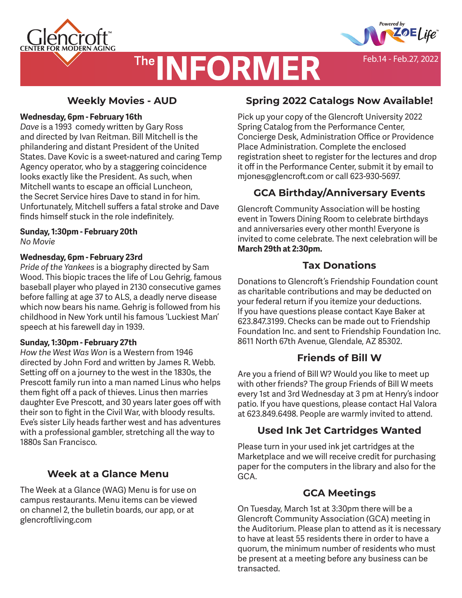





Feb.14 - Feb.27, 2022

**Weekly Movies - AUD**

### **Wednesday, 6pm - February 16th**

*Dave* is a 1993 comedy written by Gary Ross and directed by Ivan Reitman. Bill Mitchell is the philandering and distant President of the United States. Dave Kovic is a sweet-natured and caring Temp Agency operator, who by a staggering coincidence looks exactly like the President. As such, when Mitchell wants to escape an official Luncheon, the Secret Service hires Dave to stand in for him. Unfortunately, Mitchell suffers a fatal stroke and Dave finds himself stuck in the role indefinitely.

# **Sunday, 1:30pm - February 20th**

*No Movie*

### **Wednesday, 6pm - February 23rd**

*Pride of the Yankees* is a biography directed by Sam Wood. This biopic traces the life of Lou Gehrig, famous baseball player who played in 2130 consecutive games before falling at age 37 to ALS, a deadly nerve disease which now bears his name. Gehrig is followed from his childhood in New York until his famous 'Luckiest Man' speech at his farewell day in 1939.

### **Sunday, 1:30pm - February 27th**

*How the West Was Won* is a Western from 1946 directed by John Ford and written by James R. Webb. Setting off on a journey to the west in the 1830s, the Prescott family run into a man named Linus who helps them fight off a pack of thieves. Linus then marries daughter Eve Prescott, and 30 years later goes off with their son to fight in the Civil War, with bloody results. Eve's sister Lily heads farther west and has adventures with a professional gambler, stretching all the way to 1880s San Francisco.

## **Week at a Glance Menu**

The Week at a Glance (WAG) Menu is for use on campus restaurants. Menu items can be viewed on channel 2, the bulletin boards, our app, or at glencroftliving.com

## **Spring 2022 Catalogs Now Available!**

Pick up your copy of the Glencroft University 2022 Spring Catalog from the Performance Center, Concierge Desk, Administration Office or Providence Place Administration. Complete the enclosed registration sheet to register for the lectures and drop it off in the Performance Center, submit it by email to mjones@glencroft.com or call 623-930-5697.

## **GCA Birthday/Anniversary Events**

Glencroft Community Association will be hosting event in Towers Dining Room to celebrate birthdays and anniversaries every other month! Everyone is invited to come celebrate. The next celebration will be **March 29th at 2:30pm.** 

## **Tax Donations**

Donations to Glencroft 's Friendship Foundation count as charitable contributions and may be deducted on your federal return if you itemize your deductions. If you have questions please contact Kaye Baker at 623.847.3199. Checks can be made out to Friendship Foundation Inc. and sent to Friendship Foundation Inc. 8611 North 67th Avenue, Glendale, AZ 85302.

## **Friends of Bill W**

Are you a friend of Bill W? Would you like to meet up with other friends? The group Friends of Bill W meets every 1st and 3rd Wednesday at 3 pm at Henry's indoor patio. If you have questions, please contact Hal Valora at 623.849.6498. People are warmly invited to attend.

## **Used Ink Jet Cartridges Wanted**

Please turn in your used ink jet cartridges at the Marketplace and we will receive credit for purchasing paper for the computers in the library and also for the GCA.

## **GCA Meetings**

On Tuesday, March 1st at 3:30pm there will be a Glencroft Community Association (GCA) meeting in the Auditorium. Please plan to attend as it is necessary to have at least 55 residents there in order to have a quorum, the minimum number of residents who must be present at a meeting before any business can be transacted.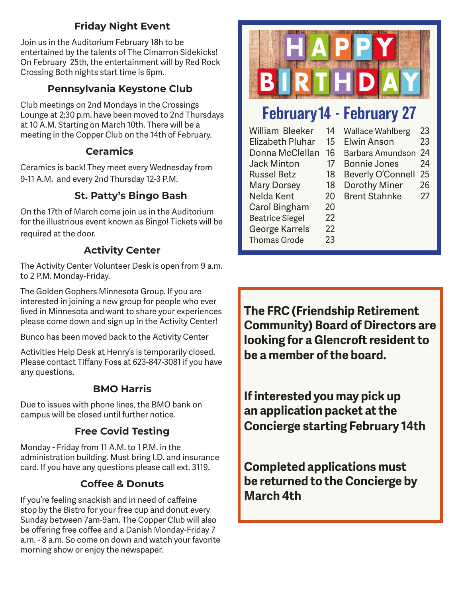## **Friday Night Event**

Join us in the Auditorium February 18h to be entertained by the talents of The Cimarron Sidekicks! On February 25th, the entertainment will by Red Rock Crossing Both nights start time is 6pm.

## **Pennsylvania Keystone Club**

Club meetings on 2nd Mondays in the Crossings Lounge at 2:30 p.m. have been moved to 2nd Thursdays at 10 A.M. Starting on March 10th. There will be a meeting in the Copper Club on the 14th of February.

## **Ceramics**

Ceramics is back! They meet every Wednesday from 9-11 A.M. and every 2nd Thursday 12-3 P.M.

## **St. Patty's Bingo Bash**

On the 17th of March come join us in the Auditorium for the illustrious event known as Bingo! Tickets will be required at the door.

## **Activity Center**

The Activity Center Volunteer Desk is open from 9 a.m. to 2 P.M. Monday-Friday.

The Golden Gophers Minnesota Group. If you are interested in joining a new group for people who ever lived in Minnesota and want to share your experiences please come down and sign up in the Activity Center!

Bunco has been moved back to the Activity Center

Activities Help Desk at Henry's is temporarily closed. Please contact Tiffany Foss at 623-847-3081 if you have any questions.

## **BMO Harris**

Due to issues with phone lines, the BMO bank on campus will be closed until further notice.

## **Free Covid Testing**

Monday - Friday from 11 A.M. to 1 P.M. in the administration building. Must bring I.D. and insurance card. If you have any questions please call ext. 3119.

## **Coffee & Donuts**

If you're feeling snackish and in need of caffeine stop by the Bistro for your free cup and donut every Sunday between 7am-9am. The Copper Club will also be offering free coffee and a Danish Monday-Friday 7 a.m. - 8 a.m. So come on down and watch your favorite morning show or enjoy the newspaper.



# February14 - February 27

| William Bleeker         | 14 | <b>Wallace Wahlberg</b>  | 23 |
|-------------------------|----|--------------------------|----|
| <b>Elizabeth Pluhar</b> | 15 | <b>Elwin Anson</b>       | 23 |
| Donna McClellan         | 16 | Barbara Amundson         | 24 |
| <b>Jack Minton</b>      | 17 | <b>Bonnie Jones</b>      | 24 |
| <b>Russel Betz</b>      | 18 | <b>Beverly O'Connell</b> | 25 |
| <b>Mary Dorsey</b>      | 18 | Dorothy Miner            | 26 |
| Nelda Kent              | 20 | <b>Brent Stahnke</b>     | 27 |
| Carol Bingham           | 20 |                          |    |
| <b>Beatrice Siegel</b>  | 22 |                          |    |
| George Karrels          | 22 |                          |    |
| <b>Thomas Grode</b>     | 23 |                          |    |
|                         |    |                          |    |

**The FRC (Friendship Retirement Community) Board of Directors are looking for a Glencroft resident to be a member of the board.** 

**If interested you may pick up an application packet at the Concierge starting February 14th**

**Completed applications must be returned to the Concierge by March 4th**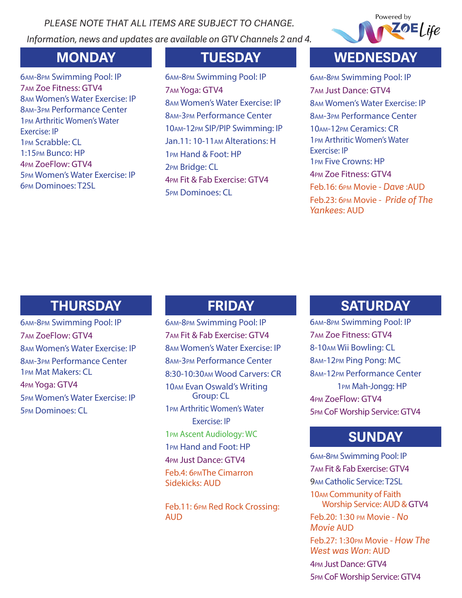*PLEASE NOTE THAT ALL ITEMS ARE SUBJECT TO CHANGE. Information, news and updates are available on GTV Channels 2 and 4.*



am-8pm Swimming Pool: IP am Zoe Fitness: GTV4 am Women's Water Exercise: IP am-3pm Performance Center pm Arthritic Women's Water Exercise: IP pm Scrabble: CL 1:15pm Bunco: HP pm ZoeFlow: GTV4 pm Women's Water Exercise: IP pm Dominoes: T2SL

am-8pm Swimming Pool: IP am Yoga: GTV4 am Women's Water Exercise: IP am-3pm Performance Center am-12pm SIP/PIP Swimming: IP Jan.11: 10-11am Alterations: H pm Hand & Foot: HP pm Bridge: CL pm Fit & Fab Exercise: GTV4 pm Dominoes: CL

# **MONDAY TUESDAY WEDNESDAY**

am-8pm Swimming Pool: IP am Just Dance: GTV4 am Women's Water Exercise: IP am-3pm Performance Center 10AM-12pm Ceramics: CR pm Arthritic Women's Water Exercise: IP pm Five Crowns: HP pm Zoe Fitness: GTV4 Feb.16: 6pm Movie - *Dave* :AUD Feb.23: 6pm Movie - *Pride of The Yankees*: AUD

# **THURSDAY FRIDAY**

am-8pm Swimming Pool: IP am ZoeFlow: GTV4 am Women's Water Exercise: IP am-3pm Performance Center pm Mat Makers: CL pm Yoga: GTV4 pm Women's Water Exercise: IP pm Dominoes: CL

am-8pm Swimming Pool: IP am Fit & Fab Exercise: GTV4 am Women's Water Exercise: IP am-3pm Performance Center 8:30-10:30am Wood Carvers: CR am Evan Oswald's Writing Group: CL pm Arthritic Women's Water Exercise: IP pm Ascent Audiology: WC pm Hand and Foot: HP pm Just Dance: GTV4 Feb.4: 6pmThe Cimarron Sidekicks: AUD

Feb.11: 6pm Red Rock Crossing: AUD

# **SATURDAY**

am-8pm Swimming Pool: IP am Zoe Fitness: GTV4 8-10am Wii Bowling: CL am-12pm Ping Pong: MC am-12pm Performance Center pm Mah-Jongg: HP pm ZoeFlow: GTV4 pm CoF Worship Service: GTV4

# **SUNDAY**

am-8pm Swimming Pool: IP am Fit & Fab Exercise: GTV4 am Catholic Service: T2SL am Community of Faith Worship Service: AUD & GTV4 Feb.20: 1:30 pm Movie - *No Movie* AUD Feb.27: 1:30pm Movie - *How The West was Won*: AUD pm Just Dance: GTV4 pm CoF Worship Service: GTV4